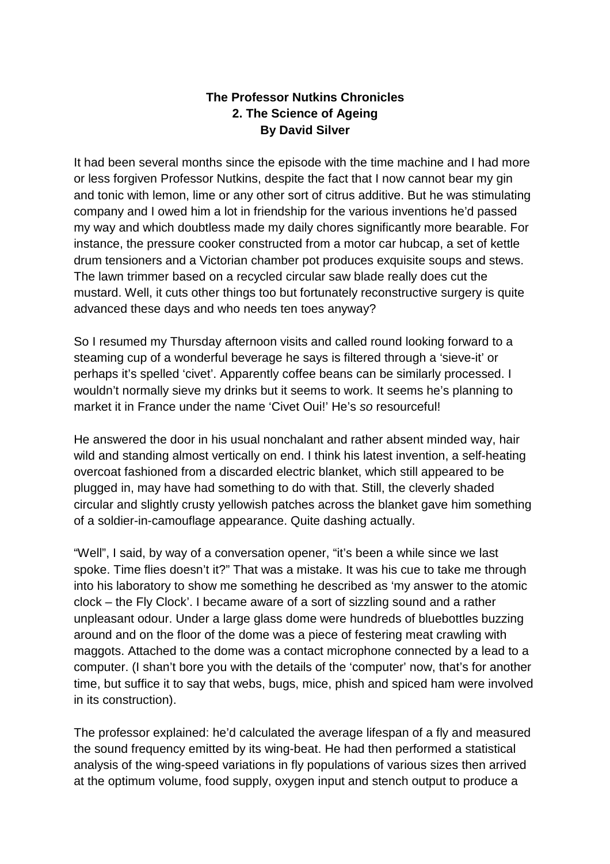## **The Professor Nutkins Chronicles 2. The Science of Ageing By David Silver**

It had been several months since the episode with the time machine and I had more or less forgiven Professor Nutkins, despite the fact that I now cannot bear my gin and tonic with lemon, lime or any other sort of citrus additive. But he was stimulating company and I owed him a lot in friendship for the various inventions he'd passed my way and which doubtless made my daily chores significantly more bearable. For instance, the pressure cooker constructed from a motor car hubcap, a set of kettle drum tensioners and a Victorian chamber pot produces exquisite soups and stews. The lawn trimmer based on a recycled circular saw blade really does cut the mustard. Well, it cuts other things too but fortunately reconstructive surgery is quite advanced these days and who needs ten toes anyway?

So I resumed my Thursday afternoon visits and called round looking forward to a steaming cup of a wonderful beverage he says is filtered through a 'sieve-it' or perhaps it's spelled 'civet'. Apparently coffee beans can be similarly processed. I wouldn't normally sieve my drinks but it seems to work. It seems he's planning to market it in France under the name 'Civet Oui!' He's so resourceful!

He answered the door in his usual nonchalant and rather absent minded way, hair wild and standing almost vertically on end. I think his latest invention, a self-heating overcoat fashioned from a discarded electric blanket, which still appeared to be plugged in, may have had something to do with that. Still, the cleverly shaded circular and slightly crusty yellowish patches across the blanket gave him something of a soldier-in-camouflage appearance. Quite dashing actually.

"Well", I said, by way of a conversation opener, "it's been a while since we last spoke. Time flies doesn't it?" That was a mistake. It was his cue to take me through into his laboratory to show me something he described as 'my answer to the atomic clock – the Fly Clock'. I became aware of a sort of sizzling sound and a rather unpleasant odour. Under a large glass dome were hundreds of bluebottles buzzing around and on the floor of the dome was a piece of festering meat crawling with maggots. Attached to the dome was a contact microphone connected by a lead to a computer. (I shan't bore you with the details of the 'computer' now, that's for another time, but suffice it to say that webs, bugs, mice, phish and spiced ham were involved in its construction).

The professor explained: he'd calculated the average lifespan of a fly and measured the sound frequency emitted by its wing-beat. He had then performed a statistical analysis of the wing-speed variations in fly populations of various sizes then arrived at the optimum volume, food supply, oxygen input and stench output to produce a